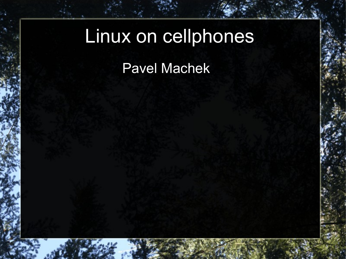# Linux on cellphones Pavel Machek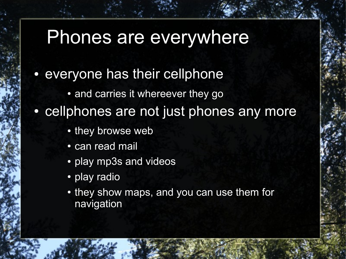### Phones are everywhere

- everyone has their cellphone
	- and carries it whereever they go
- cellphones are not just phones any more
	- they browse web
	- can read mail
	- play mp3s and videos
	- play radio
	- they show maps, and you can use them for navigation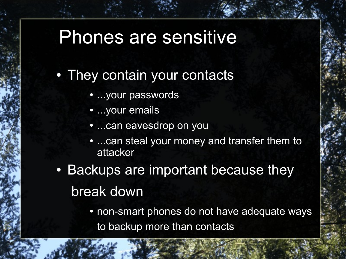### Phones are sensitive

- They contain your contacts
	- ...your passwords
	- ...your emails
	- ...can eavesdrop on you
	- ...can steal your money and transfer them to attacker
- Backups are important because they break down
	- non-smart phones do not have adequate ways to backup more than contacts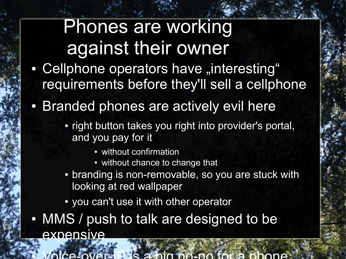### Phones are working against their owner

- Cellphone operators have "interesting" requirements before they'll sell a cellphone
- Branded phones are actively evil here
	- right button takes you right into provider's portal, and you pay for it
		- without confirmation
		- without chance to change that
	- branding is non-removable, so you are stuck with looking at red wallpaper
	- you can't use it with other operator
- MMS / push to talk are designed to be expensive

● Voice-over-IP is a big no-no for a phone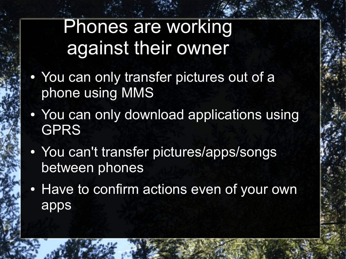Phones are working against their owner

- You can only transfer pictures out of a phone using MMS
- You can only download applications using GPRS
- You can't transfer pictures/apps/songs between phones
- Have to confirm actions even of your own apps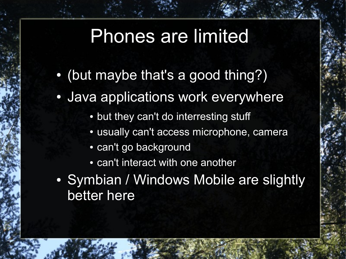### Phones are limited

- (but maybe that's a good thing?)
- Java applications work everywhere
	- but they can't do interresting stuff
	- usually can't access microphone, camera
	- can't go background
	- can't interact with one another
- Symbian / Windows Mobile are slightly better here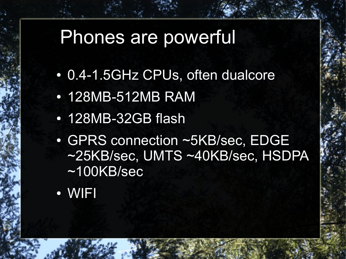### Phones are powerful

- 0.4-1.5GHz CPUs, often dualcore
- 128MB-512MB RAM
- 128MB-32GB flash
- GPRS connection ~5KB/sec, EDGE ~25KB/sec, UMTS ~40KB/sec, HSDPA ~100KB/sec
- WIFI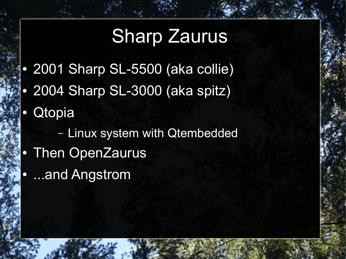## Sharp Zaurus

- 2001 Sharp SL-5500 (aka collie)
- 2004 Sharp SL-3000 (aka spitz)
- **Qtopia** 
	- Linux system with Qtembedded
- Then OpenZaurus
- ...and Angstrom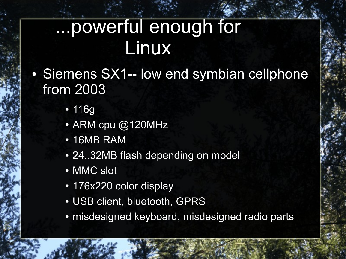### ...powerful enough for Linux

- Siemens SX1-- low end symbian cellphone from 2003
	- 116g
	- ARM cpu @120MHz
	- 16MB RAM
	- 24..32MB flash depending on model
	- MMC slot
	- 176x220 color display
	- USB client, bluetooth, GPRS
	- misdesigned keyboard, misdesigned radio parts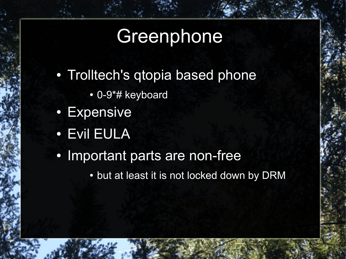### **Greenphone**

- Trolltech's gtopia based phone
	- 0-9\*# keyboard
- Expensive
- Evil EULA
- Important parts are non-free
	- but at least it is not locked down by DRM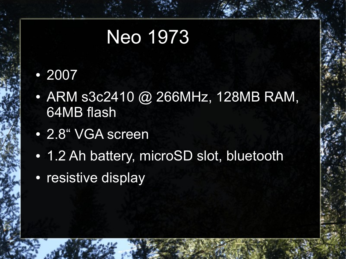### Neo 1973

#### ● 2007

- ARM s3c2410 @ 266MHz, 128MB RAM, 64MB flash
- 2.8" VGA screen
- 1.2 Ah battery, microSD slot, bluetooth
- resistive display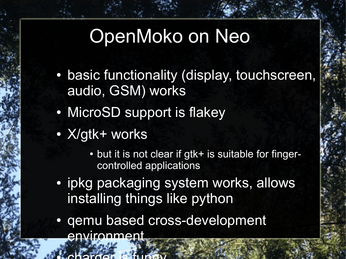### OpenMoko on Neo

- basic functionality (display, touchscreen, audio, GSM) works
- MicroSD support is flakey
- X/gtk+ works

● charger is funny

- but it is not clear if gtk+ is suitable for fingercontrolled applications
- ipkg packaging system works, allows installing things like python
- gemu based cross-development environment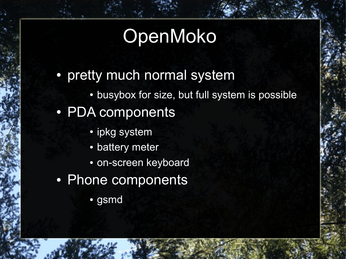### OpenMoko

- pretty much normal system
	- busybox for size, but full system is possible
- PDA components
	- ipkg system
	- battery meter
	- on-screen keyboard
- Phone components
	- gsmd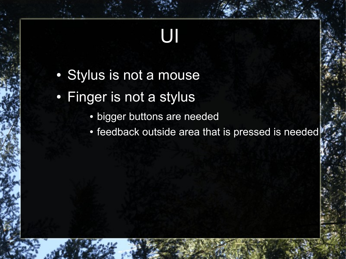# UI

- Stylus is not a mouse
- Finger is not a stylus
	- bigger buttons are needed
	- feedback outside area that is pressed is needed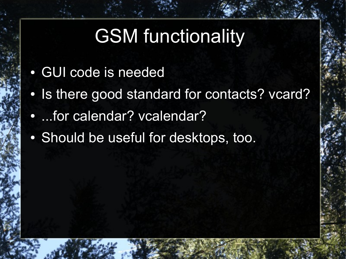### **GSM functionality**

- GUI code is needed
- Is there good standard for contacts? vcard?
- ...for calendar? vcalendar?
- Should be useful for desktops, too.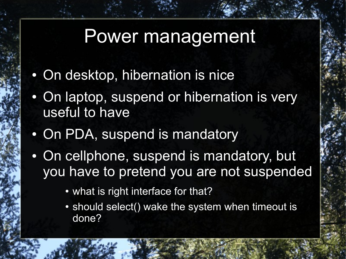#### Power management

- On desktop, hibernation is nice
- On laptop, suspend or hibernation is very useful to have
- On PDA, suspend is mandatory
- On cellphone, suspend is mandatory, but you have to pretend you are not suspended
	- what is right interface for that?
	- should select() wake the system when timeout is done?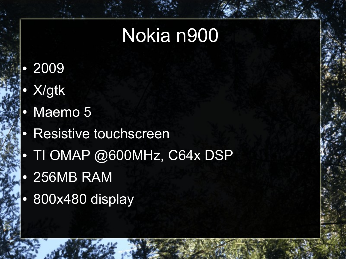### Nokia n900

- 2009
- X/gtk
- Maemo 5
- Resistive touchscreen
- TI OMAP @600MHz, C64x DSP
- 256MB RAM
- 800x480 display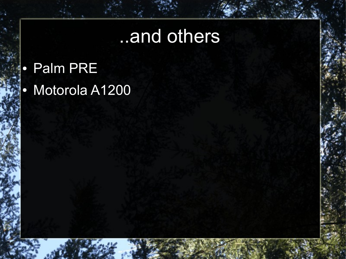### ..and others

- Palm PRE
- Motorola A1200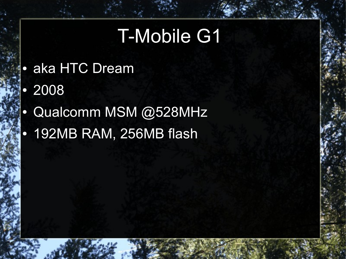### T-Mobile G1

- aka HTC Dream
- 2008
- Qualcomm MSM @528MHz
- 192MB RAM, 256MB flash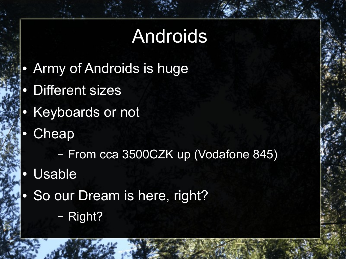### Androids

- Army of Androids is huge
- **Different sizes**
- Keyboards or not
- **Cheap**

– From cca 3500CZK up (Vodafone 845)

- Usable
- So our Dream is here, right? – Right?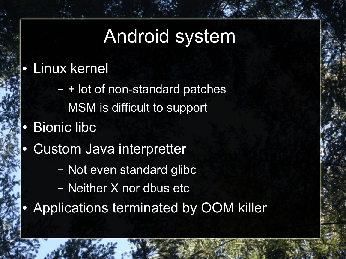### Android system

#### • Linux kernel

- + lot of non-standard patches
- MSM is difficult to support
- **Bionic libc**
- Custom Java interpretter
	- Not even standard glibc
	- Neither X nor dbus etc
- Applications terminated by OOM killer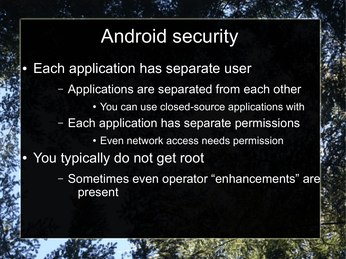### Android security

- **Each application has separate user** 
	- Applications are separated from each other
		- You can use closed-source applications with
	- Each application has separate permissions
		- Even network access needs permission
- You typically do not get root
	- Sometimes even operator "enhancements" are present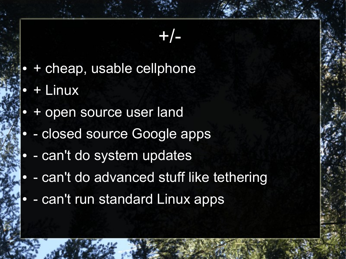#### +/-

- + cheap, usable cellphone
- + Linux
- + open source user land
- closed source Google apps
- can't do system updates
- can't do advanced stuff like tethering
- can't run standard Linux apps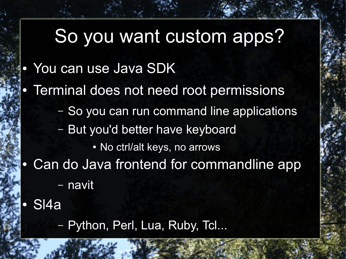## So you want custom apps?

- You can use Java SDK
- Terminal does not need root permissions
	- So you can run command line applications
	- But you'd better have keyboard
		- No ctrl/alt keys, no arrows
- Can do Java frontend for commandline app – navit
- S<sub>l4</sub>a
	- Python, Perl, Lua, Ruby, Tcl...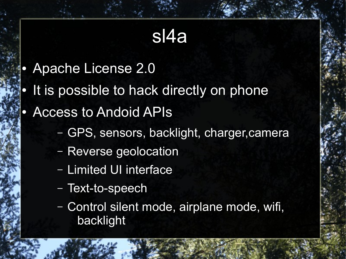### sl4a

- Apache License 2.0
- It is possible to hack directly on phone
- **Access to Andoid APIs** 
	- GPS, sensors, backlight, charger,camera
	- Reverse geolocation
	- Limited UI interface
	- Text-to-speech
	- Control silent mode, airplane mode, wifi, backlight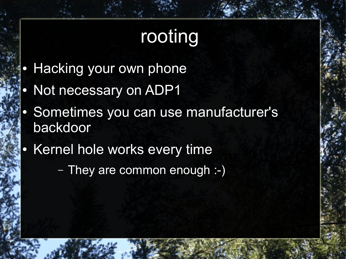## rooting

- **Hacking your own phone**
- Not necessary on ADP1
- Sometimes you can use manufacturer's backdoor
- Kernel hole works every time

– They are common enough :-)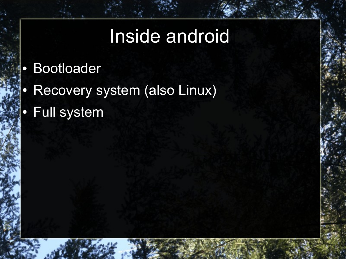### Inside android

- Bootloader
- Recovery system (also Linux)
- Full system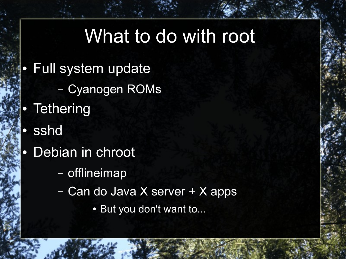### What to do with root

- **Full system update** 
	- Cyanogen ROMs
- Tethering
- sshd
- Debian in chroot
	- offlineimap
	- Can do Java X server + X apps
		- But you don't want to...